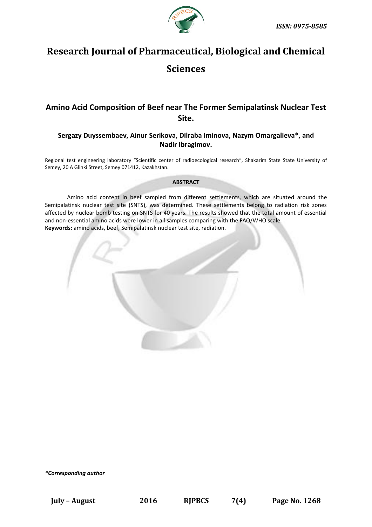

# **Research Journal of Pharmaceutical, Biological and Chemical Sciences**

# **Amino Acid Composition of Beef near The Former Semipalatinsk Nuclear Test Site.**

# **Sergazy Duyssembaev, Ainur Serikova, Dilraba Iminova, Nazym Omargalieva\*, and Nadir Ibragimov.**

Regional test engineering laboratory "Scientific center of radioecological research", Shakarim State State University of Semey, 20 A Glinki Street, Semey 071412, Kazakhstan.

# **ABSTRACT**

Amino acid content in beef sampled from different settlements, which are situated around the Semipalatinsk nuclear test site (SNTS), was determined. These settlements belong to radiation risk zones affected by nuclear bomb testing on SNTS for 40 years. The results showed that the total amount of essential and non-essential amino acids were lower in all samples comparing with the FAO/WHO scale. **Keywords:** amino acids, beef, Semipalatinsk nuclear test site, radiation.



*\*Corresponding author*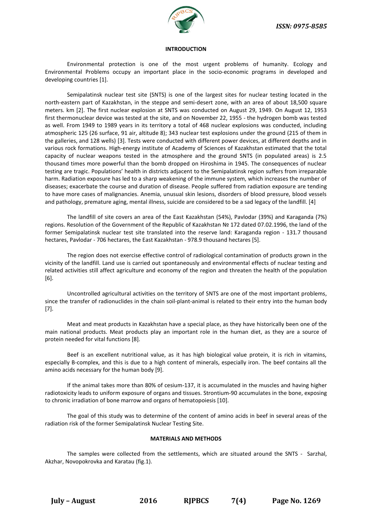

#### **INTRODUCTION**

Environmental protection is one of the most urgent problems of humanity. Ecology and Environmental Problems occupy an important place in the socio-economic programs in developed and developing countries [1].

Semipalatinsk nuclear test site (SNTS) is one of the largest sites for nuclear testing located in the north-eastern part of Kazakhstan, in the steppe and semi-desert zone, with an area of about 18,500 square meters. km [2]. The first nuclear explosion at SNTS was conducted on August 29, 1949. On August 12, 1953 first thermonuclear device was tested at the site, and on November 22, 1955 - the hydrogen bomb was tested as well. From 1949 to 1989 years in its territory a total of 468 nuclear explosions was conducted, including atmospheric 125 (26 surface, 91 air, altitude 8); 343 nuclear test explosions under the ground (215 of them in the galleries, and 128 wells) [3]. Tests were conducted with different power devices, at different depths and in various rock formations. High-energy institute of Academy of Sciences of Kazakhstan estimated that the total capacity of nuclear weapons tested in the atmosphere and the ground SNTS (in populated areas) is 2.5 thousand times more powerful than the bomb dropped on Hiroshima in 1945. The consequences of nuclear testing are tragic. Populations' health in districts adjacent to the Semipalatinsk region suffers from irreparable harm. Radiation exposure has led to a sharp weakening of the immune system, which increases the number of diseases; exacerbate the course and duration of disease. People suffered from radiation exposure are tending to have more cases of malignancies. Anemia, unusual skin lesions, disorders of blood pressure, blood vessels and pathology, premature aging, mental illness, suicide are considered to be a sad legacy of the landfill. [4]

The landfill of site covers an area of the East Kazakhstan (54%), Pavlodar (39%) and Karaganda (7%) regions. Resolution of the Government of the Republic of Kazakhstan № 172 dated 07.02.1996, the land of the former Semipalatinsk nuclear test site translated into the reserve land: Karaganda region - 131.7 thousand hectares, Pavlodar - 706 hectares, the East Kazakhstan - 978.9 thousand hectares [5].

The region does not exercise effective control of radiological contamination of products grown in the vicinity of the landfill. Land use is carried out spontaneously and environmental effects of nuclear testing and related activities still affect agriculture and economy of the region and threaten the health of the population [6].

Uncontrolled agricultural activities on the territory of SNTS are one of the most important problems, since the transfer of radionuclides in the chain soil-plant-animal is related to their entry into the human body [7].

Meat and meat products in Kazakhstan have a special place, as they have historically been one of the main national products. Meat products play an important role in the human diet, as they are a source of protein needed for vital functions [8].

Beef is an excellent nutritional value, as it has high biological value protein, it is rich in vitamins, especially B-complex, and this is due to a high content of minerals, especially iron. The beef contains all the amino acids necessary for the human body [9].

If the animal takes more than 80% of cesium-137, it is accumulated in the muscles and having higher radiotoxicity leads to uniform exposure of organs and tissues. Strontium-90 accumulates in the bone, exposing to chronic irradiation of bone marrow and organs of hematopoiesis [10].

The goal of this study was to determine of the content of amino acids in beef in several areas of the radiation risk of the former Semipalatinsk Nuclear Testing Site.

# **MATERIALS AND METHODS**

The samples were collected from the settlements, which are situated around the SNTS - Sarzhal, Akzhar, Novopokrovka and Karatau (fig.1).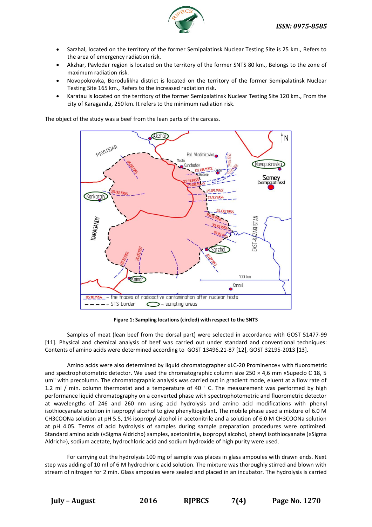

- Sarzhal, located on the territory of the former Semipalatinsk Nuclear Testing Site is 25 km., Refers to the area of emergency radiation risk.
- Akzhar, Pavlodar region is located on the territory of the former SNTS 80 km., Belongs to the zone of maximum radiation risk.
- Novopokrovka, Borodulikha district is located on the territory of the former Semipalatinsk Nuclear Testing Site 165 km., Refers to the increased radiation risk.
- Karatau is located on the territory of the former Semipalatinsk Nuclear Testing Site 120 km., From the city of Karaganda, 250 km. It refers to the minimum radiation risk.

The object of the study was a beef from the lean parts of the carcass.



**Figure 1: Sampling locations (circled) with respect to the SNTS**

Samples of meat (lean beef from the dorsal part) were selected in accordance with GOST 51477-99 [11]. Physical and chemical analysis of beef was carried out under standard and conventional techniques: Contents of amino acids were determined according to GOST 13496.21-87 [12], GOST 32195-2013 [13].

Amino acids were also determined by liquid chromatographer «LC-20 Prominence» with fluorometric and spectrophotometric detector. We used the chromatographic column size 250 × 4,6 mm «Supeclo C 18, 5 um" with precolumn. The chromatographic analysis was carried out in gradient mode, eluent at a flow rate of 1.2 ml / min. column thermostat and a temperature of 40 ° C. The measurement was performed by high performance liquid chromatography on a converted phase with spectrophotometric and fluorometric detector at wavelengths of 246 and 260 nm using acid hydrolysis and amino acid modifications with phenyl isothiocyanate solution in isopropyl alcohol to give phenyltiogidant. The mobile phase used a mixture of 6.0 M CH3COONa solution at pH 5.5, 1% isopropyl alcohol in acetonitrile and a solution of 6.0 M CH3COONa solution at pH 4.05. Terms of acid hydrolysis of samples during sample preparation procedures were optimized. Standard amino acids («Sigma Aldrich») samples, acetonitrile, isopropyl alcohol, phenyl isothiocyanate («Sigma Aldrich»), sodium acetate, hydrochloric acid and sodium hydroxide of high purity were used.

For carrying out the hydrolysis 100 mg of sample was places in glass ampoules with drawn ends. Next step was adding of 10 ml of 6 M hydrochloric acid solution. The mixture was thoroughly stirred and blown with stream of nitrogen for 2 min. Glass ampoules were sealed and placed in an incubator. The hydrolysis is carried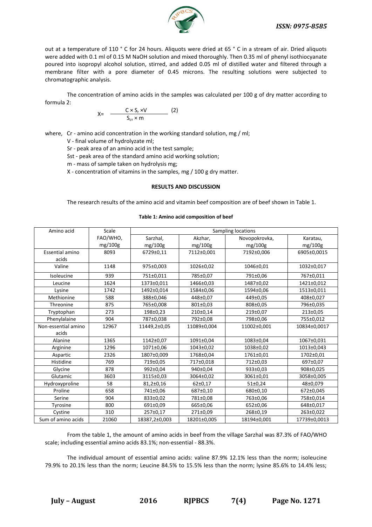

out at a temperature of 110 ° C for 24 hours. Aliquots were dried at 65 ° C in a stream of air. Dried aliquots were added with 0.1 ml of 0.15 M NaOH solution and mixed thoroughly. Then 0.35 ml of phenyl isothiocyanate poured into isopropyl alcohol solution, stirred, and added 0.05 ml of distilled water and filtered through a membrane filter with a pore diameter of 0.45 microns. The resulting solutions were subjected to chromatographic analysis.

The concentration of amino acids in the samples was calculated per 100 g of dry matter according to formula 2:

$$
X = \frac{C \times S_r \times V}{S_{cr} \times m}
$$
 (2)

where, Cr - amino acid concentration in the working standard solution, mg / ml;

V - final volume of hydrolyzate ml;

Sr - peak area of an amino acid in the test sample;

Sst - peak area of the standard amino acid working solution;

m - mass of sample taken on hydrolysis mg;

X - concentration of vitamins in the samples, mg / 100 g dry matter.

### **RESULTS AND DISCUSSION**

The research results of the amino acid and vitamin beef composition are of beef shown in Table 1.

| Table 1: Amino acid composition of beef |  |
|-----------------------------------------|--|
|-----------------------------------------|--|

| Amino acid             | Scale    | Sampling locations |             |               |              |
|------------------------|----------|--------------------|-------------|---------------|--------------|
|                        | FAO/WHO, | Sarzhal,           | Akzhar,     | Novopokrovka, | Karatau,     |
|                        | mg/100g  | mg/100g            | mg/100g     | mg/100g       | mg/100g      |
| <b>Essential amino</b> | 8093     | 6729±0,11          | 7112±0,001  | 7192±0,006    | 6905±0,0015  |
| acids                  |          |                    |             |               |              |
| Valine                 | 1148     | 975±0,003          | 1026±0,02   | 1046±0,01     | 1032±0,017   |
| Isoleucine             | 939      | 751±0,011          | 785±0,07    | 791±0,06      | 767±0,011    |
| Leucine                | 1624     | 1373±0,011         | 1466±0,03   | 1487±0,02     | 1421±0,012   |
| Lysine                 | 1742     | 1492±0,014         | 1584±0,06   | 1594±0,06     | 1513±0,011   |
| Methionine             | 588      | 388±0,046          | 448±0,07    | 449±0,05      | 408±0,027    |
| Threonine              | 875      | 765±0,008          | 801±0,03    | 808±0,05      | 796±0,035    |
| Tryptophan             | 273      | 198±0,23           | 210±0,14    | 219±0,07      | 213±0,05     |
| Phenylalaine           | 904      | 787±0,038          | 792±0,08    | 798±0,06      | 755±0,012    |
| Non-essential amino    | 12967    | 11449,2±0,05       | 11089±0,004 | 11002±0,001   | 10834±0,0017 |
| acids                  |          |                    |             |               |              |
| Alanine                | 1365     | 1142±0,07          | 1091±0,04   | 1083±0,04     | 1067±0,031   |
| Arginine               | 1296     | 1071±0,06          | 1043±0,02   | 1038±0,02     | 1013±0,043   |
| Aspartic               | 2326     | 1807±0,009         | 1768±0,04   | 1761±0,01     | 1702±0,01    |
| Histidine              | 769      | 719±0.05           | 717±0.018   | 712±0.03      | 697±0.07     |
| Glycine                | 878      | 992±0,04           | 940±0,04    | 933±0,03      | 908±0,025    |
| Glutamic               | 3603     | 3115±0,03          | 3064±0,02   | 3061±0,01     | 3058±0,005   |
| Hydroxyproline         | 58       | $81,2{\pm}0,16$    | 62±0,17     | 51±0,24       | 48±0,079     |
| Proline                | 658      | 741±0,06           | 687±0,10    | 680±0,10      | 672±0,045    |
| Serine                 | 904      | 833±0,02           | 781±0,08    | 763±0,06      | 758±0,014    |
| Tyrosine               | 800      | 691±0,09           | 665±0,06    | 652±0,06      | 648±0,017    |
| Cystine                | 310      | 257±0,17           | 271±0,09    | 268±0,19      | 263±0,022    |
| Sum of amino acids     | 21060    | 18387,2±0,003      | 18201±0,005 | 18194±0,001   | 17739±0,0013 |

From the table 1, the amount of amino acids in beef from the village Sarzhal was 87.3% of FAO/WHO scale; including essential amino acids 83.1%; non-essential - 88.3%.

The individual amount of essential amino acids: valine 87.9% 12.1% less than the norm; isoleucine 79.9% to 20.1% less than the norm; Leucine 84.5% to 15.5% less than the norm; lysine 85.6% to 14.4% less;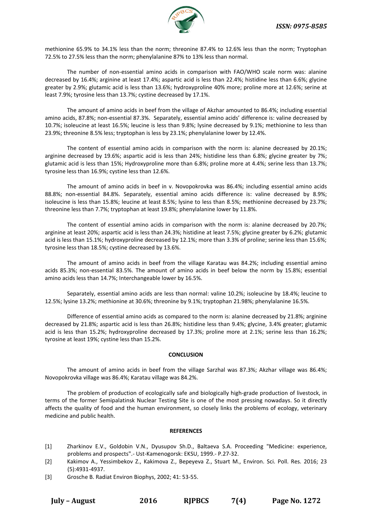

methionine 65.9% to 34.1% less than the norm; threonine 87.4% to 12.6% less than the norm; Tryptophan 72.5% to 27.5% less than the norm; phenylalanine 87% to 13% less than normal.

The number of non-essential amino acids in comparison with FAO/WHO scale norm was: alanine decreased by 16.4%; arginine at least 17.4%; aspartic acid is less than 22.4%; histidine less than 6.6%; glycine greater by 2.9%; glutamic acid is less than 13.6%; hydroxyproline 40% more; proline more at 12.6%; serine at least 7.9%; tyrosine less than 13.7%; cystine decreased by 17.1%.

The amount of amino acids in beef from the village of Akzhar amounted to 86.4%; including essential amino acids, 87.8%; non-essential 87.3%. Separately, essential amino acids' difference is: valine decreased by 10.7%; isoleucine at least 16.5%; leucine is less than 9.8%; lysine decreased by 9.1%; methionine to less than 23.9%; threonine 8.5% less; tryptophan is less by 23.1%; phenylalanine lower by 12.4%.

The content of essential amino acids in comparison with the norm is: alanine decreased by 20.1%; arginine decreased by 19.6%; aspartic acid is less than 24%; histidine less than 6.8%; glycine greater by 7%; glutamic acid is less than 15%; Hydroxyproline more than 6.8%; proline more at 4.4%; serine less than 13.7%; tyrosine less than 16.9%; cystine less than 12.6%.

The amount of amino acids in beef in v. Novopokrovka was 86.4%; including essential amino acids 88.8%; non-essential 84.8%. Separately, essential amino acids difference is: valine decreased by 8.9%; isoleucine is less than 15.8%; leucine at least 8.5%; lysine to less than 8.5%; methionine decreased by 23.7%; threonine less than 7.7%; tryptophan at least 19.8%; phenylalanine lower by 11.8%.

The content of essential amino acids in comparison with the norm is: alanine decreased by 20.7%; arginine at least 20%; aspartic acid is less than 24.3%; histidine at least 7.5%; glycine greater by 6.2%; glutamic acid is less than 15.1%; hydroxyproline decreased by 12.1%; more than 3.3% of proline; serine less than 15.6%; tyrosine less than 18.5%; cystine decreased by 13.6%.

The amount of amino acids in beef from the village Karatau was 84.2%; including essential amino acids 85.3%; non-essential 83.5%. The amount of amino acids in beef below the norm by 15.8%; essential amino acids less than 14.7%; Interchangeable lower by 16.5%.

Separately, essential amino acids are less than normal: valine 10.2%; isoleucine by 18.4%; leucine to 12.5%; lysine 13.2%; methionine at 30.6%; threonine by 9.1%; tryptophan 21.98%; phenylalanine 16.5%.

Difference of essential amino acids as compared to the norm is: alanine decreased by 21.8%; arginine decreased by 21.8%; aspartic acid is less than 26.8%; histidine less than 9.4%; glycine, 3.4% greater; glutamic acid is less than 15.2%; hydroxyproline decreased by 17.3%; proline more at 2.1%; serine less than 16.2%; tyrosine at least 19%; cystine less than 15.2%.

# **CONCLUSION**

The amount of amino acids in beef from the village Sarzhal was 87.3%; Akzhar village was 86.4%; Novopokrovka village was 86.4%; Karatau village was 84.2%.

The problem of production of ecologically safe and biologically high-grade production of livestock, in terms of the former Semipalatinsk Nuclear Testing Site is one of the most pressing nowadays. So it directly affects the quality of food and the human environment, so closely links the problems of ecology, veterinary medicine and public health.

#### **REFERENCES**

- [1] Zharkinov E.V., Goldobin V.N., Dyusupov Sh.D., Baltaeva S.A. Proceeding "Medicine: experience, problems and prospects".- Ust-Kamenogorsk: EKSU, 1999.- P.27-32.
- [2] Kakimov A., Yessimbekov Z., Kakimova Z., Bepeyeva Z., Stuart M., Environ. Sci. Poll. Res. 2016; 23 (5):4931-4937.
- [3] Grosche B. Radiat Environ Biophys, 2002; 41: 53-55.

**July – August 2016 RJPBCS 7(4) Page No. 1272**